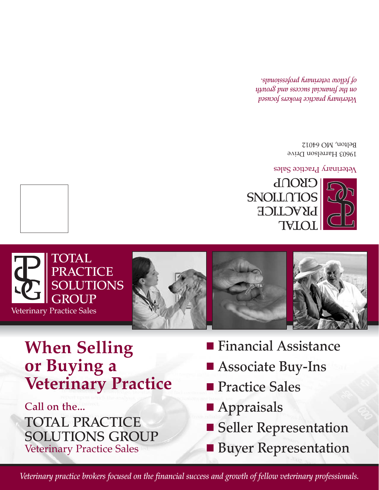*Veterinary practice brokers focused on the financial success and growth of fellow veterinary professionals.*

**Call on the... TOTAL PRACTICE SOLUTIONS GROUP** Veterinary Practice Sales

**Veterinary Practice**

**When Selling** 

**or Buying a**

**TOTAL** 

**PRACTICE**

**GROUP**

Veterinary Practice Sales

**TONS** 

■ **Financial Assistance** 

■ Seller Representation

■ **Buyer Representation** 

■ **Associate Buy-Ins** 

■ **Practice Sales** 

■ **Appraisals** 



Veterinary Practice Sales

19603 Harrelson Drive Belton, MO 64012

*Veterinary practice brokers focused on the financial success and growth of fellow veterinary professionals.*